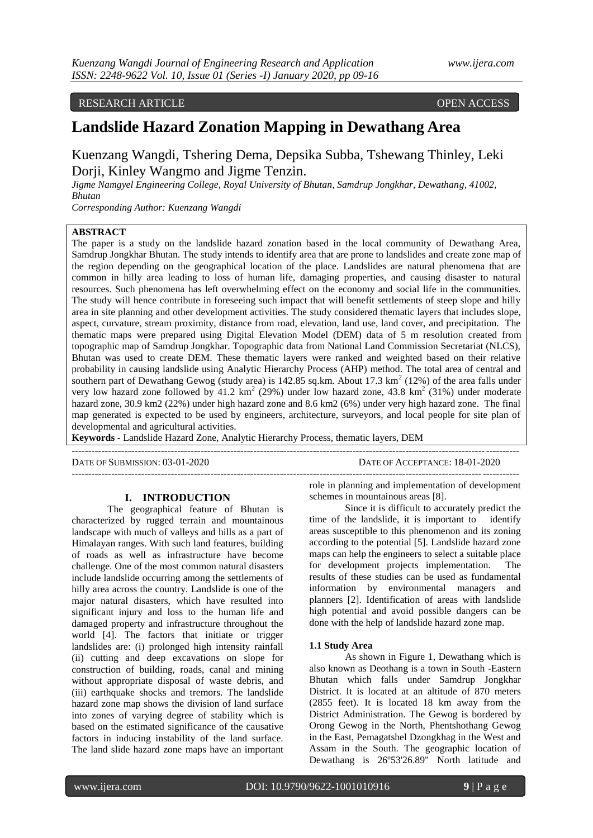# RESEARCH ARTICLE OPEN ACCESS

# **Landslide Hazard Zonation Mapping in Dewathang Area**

# Kuenzang Wangdi, Tshering Dema, Depsika Subba, Tshewang Thinley, Leki Dorji, Kinley Wangmo and Jigme Tenzin.

*Jigme Namgyel Engineering College, Royal University of Bhutan, Samdrup Jongkhar, Dewathang, 41002, Bhutan*

*Corresponding Author: Kuenzang Wangdi*

# **ABSTRACT**

The paper is a study on the landslide hazard zonation based in the local community of Dewathang Area, Samdrup Jongkhar Bhutan. The study intends to identify area that are prone to landslides and create zone map of the region depending on the geographical location of the place. Landslides are natural phenomena that are common in hilly area leading to loss of human life, damaging properties, and causing disaster to natural resources. Such phenomena has left overwhelming effect on the economy and social life in the communities. The study will hence contribute in foreseeing such impact that will benefit settlements of steep slope and hilly area in site planning and other development activities. The study considered thematic layers that includes slope, aspect, curvature, stream proximity, distance from road, elevation, land use, land cover, and precipitation. The thematic maps were prepared using Digital Elevation Model (DEM) data of 5 m resolution created from topographic map of Samdrup Jongkhar. Topographic data from National Land Commission Secretariat (NLCS), Bhutan was used to create DEM. These thematic layers were ranked and weighted based on their relative probability in causing landslide using Analytic Hierarchy Process (AHP) method. The total area of central and southern part of Dewathang Gewog (study area) is  $142.85$  sq.km. About 17.3 km<sup>2</sup> (12%) of the area falls under very low hazard zone followed by  $41.2 \text{ km}^2$  (29%) under low hazard zone, 43.8 km<sup>2</sup> (31%) under moderate hazard zone, 30.9 km2 (22%) under high hazard zone and 8.6 km2 (6%) under very high hazard zone. The final map generated is expected to be used by engineers, architecture, surveyors, and local people for site plan of developmental and agricultural activities.

**Keywords -** Landslide Hazard Zone, Analytic Hierarchy Process, thematic layers, DEM

---------------------------------------------------------------------------------------------------------------------------------------

DATE OF SUBMISSION: 03-01-2020 DATE OF ACCEPTANCE: 18-01-2020 ---------------------------------------------------------------------------------------------------------------------------------------

# **I. INTRODUCTION**

The geographical feature of Bhutan is characterized by rugged terrain and mountainous landscape with much of valleys and hills as a part of Himalayan ranges. With such land features, building of roads as well as infrastructure have become challenge. One of the most common natural disasters include landslide occurring among the settlements of hilly area across the country. Landslide is one of the major natural disasters, which have resulted into significant injury and loss to the human life and damaged property and infrastructure throughout the world [4]. The factors that initiate or trigger landslides are: (i) prolonged high intensity rainfall (ii) cutting and deep excavations on slope for construction of building, roads, canal and mining without appropriate disposal of waste debris, and (iii) earthquake shocks and tremors. The landslide hazard zone map shows the division of land surface into zones of varying degree of stability which is based on the estimated significance of the causative factors in inducing instability of the land surface. The land slide hazard zone maps have an important

role in planning and implementation of development schemes in mountainous areas [8].

Since it is difficult to accurately predict the time of the landslide, it is important to identify areas susceptible to this phenomenon and its zoning according to the potential [5]. Landslide hazard zone maps can help the engineers to select a suitable place for development projects implementation. The results of these studies can be used as fundamental information by environmental managers and planners [2]. Identification of areas with landslide high potential and avoid possible dangers can be done with the help of landslide hazard zone map.

#### **1.1 Study Area**

As shown in Figure 1, Dewathang which is also known as Deothang is a town in South -Eastern Bhutan which falls under Samdrup Jongkhar District. It is located at an altitude of 870 meters (2855 feet). It is located 18 km away from the District Administration. The Gewog is bordered by Orong Gewog in the North, Phentshothang Gewog in the East, Pemagatshel Dzongkhag in the West and Assam in the South. The geographic location of Dewathang is 26º53'26.89" North latitude and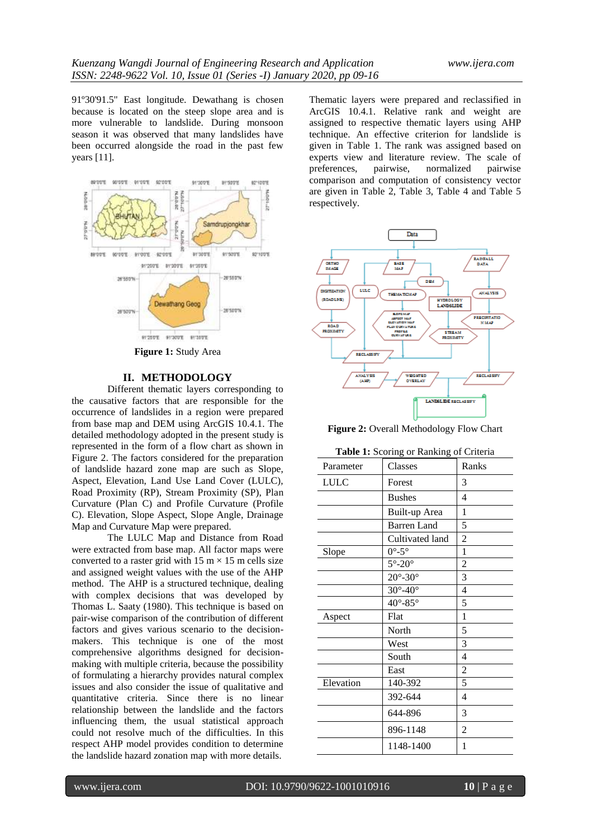91º30'91.5" East longitude. Dewathang is chosen because is located on the steep slope area and is more vulnerable to landslide. During monsoon season it was observed that many landslides have been occurred alongside the road in the past few years [11].



**Figure 1:** Study Area

# **II. METHODOLOGY**

Different thematic layers corresponding to the causative factors that are responsible for the occurrence of landslides in a region were prepared from base map and DEM using ArcGIS 10.4.1. The detailed methodology adopted in the present study is represented in the form of a flow chart as shown in Figure 2. The factors considered for the preparation of landslide hazard zone map are such as Slope, Aspect, Elevation, Land Use Land Cover (LULC), Road Proximity (RP), Stream Proximity (SP), Plan Curvature (Plan C) and Profile Curvature (Profile C). Elevation, Slope Aspect, Slope Angle, Drainage Map and Curvature Map were prepared.

The LULC Map and Distance from Road were extracted from base map. All factor maps were converted to a raster grid with  $15 \text{ m} \times 15 \text{ m}$  cells size and assigned weight values with the use of the AHP method. The AHP is a structured technique, dealing with complex decisions that was developed by Thomas L. Saaty (1980). This technique is based on pair-wise comparison of the contribution of different factors and gives various scenario to the decisionmakers. This technique is one of the most comprehensive algorithms designed for decisionmaking with multiple criteria, because the possibility of formulating a hierarchy provides natural complex issues and also consider the issue of qualitative and quantitative criteria. Since there is no linear relationship between the landslide and the factors influencing them, the usual statistical approach could not resolve much of the difficulties. In this respect AHP model provides condition to determine the landslide hazard zonation map with more details.

Thematic layers were prepared and reclassified in ArcGIS 10.4.1. Relative rank and weight are assigned to respective thematic layers using AHP technique. An effective criterion for landslide is given in Table 1. The rank was assigned based on experts view and literature review. The scale of preferences, pairwise, normalized pairwise normalized comparison and computation of consistency vector are given in Table 2, Table 3, Table 4 and Table 5 respectively.



**Figure 2:** Overall Methodology Flow Chart

|           | <b>Table 1:</b> Scoring or Ranking of Criteria |                   |
|-----------|------------------------------------------------|-------------------|
| Joromatar | Classes                                        | $\mathbf{P}$ anks |

| Parameter   | Classes                     | Ranks          |
|-------------|-----------------------------|----------------|
| <b>LULC</b> | Forest                      | 3              |
|             | <b>Bushes</b>               | 4              |
|             | Built-up Area               | 1              |
|             | <b>Barren</b> Land          | 5              |
|             | Cultivated land             | $\overline{2}$ |
| Slope       | $0^{\circ}$ -5 $^{\circ}$   | 1              |
|             | $5^{\circ}$ -20 $^{\circ}$  | $\overline{c}$ |
|             | $20^{\circ}$ -30 $^{\circ}$ | 3              |
|             | $30^\circ - 40^\circ$       | $\overline{4}$ |
|             | $40^{\circ} - 85^{\circ}$   | 5              |
| Aspect      | Flat                        | 1              |
|             | North                       | 5              |
|             | West                        | 3              |
|             | South                       | $\overline{4}$ |
|             | East                        | 2              |
| Elevation   | 140-392                     | 5              |
|             | 392-644                     | $\overline{4}$ |
|             | 644-896                     | 3              |
|             | 896-1148                    | 2              |
|             | 1148-1400                   | 1              |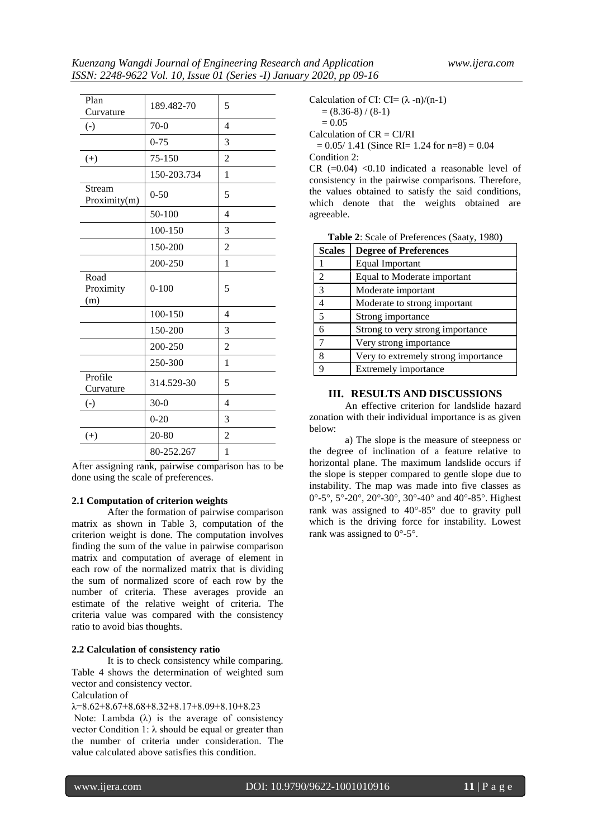h

| Plan<br>Curvature        | 189.482-70  | 5              |
|--------------------------|-------------|----------------|
| $\left( -\right)$        | $70-0$      | $\overline{4}$ |
|                          | $0 - 75$    | 3              |
| $(+)$                    | 75-150      | $\overline{2}$ |
|                          | 150-203.734 | $\mathbf{1}$   |
| Stream<br>Proximity(m)   | $0 - 50$    | 5              |
|                          | 50-100      | $\overline{4}$ |
|                          | 100-150     | 3              |
|                          | 150-200     | $\overline{2}$ |
|                          | 200-250     | 1              |
| Road<br>Proximity<br>(m) | $0 - 100$   | 5              |
|                          | 100-150     | $\overline{4}$ |
|                          | 150-200     | 3              |
|                          | 200-250     | $\overline{2}$ |
|                          | 250-300     | $\mathbf{1}$   |
| Profile<br>Curvature     | 314.529-30  | 5              |
| $\left( -\right)$        | $30-0$      | $\overline{4}$ |
|                          | $0 - 20$    | 3              |
| $(+)$                    | 20-80       | 2              |
| $\cdot$<br>$\cdot$       | 80-252.267  | 1              |

After assigning rank, pairwise comparison has to be done using the scale of preferences.

# **2.1 Computation of criterion weights**

After the formation of pairwise comparison matrix as shown in Table 3, computation of the criterion weight is done. The computation involves finding the sum of the value in pairwise comparison matrix and computation of average of element in each row of the normalized matrix that is dividing the sum of normalized score of each row by the number of criteria. These averages provide an estimate of the relative weight of criteria. The criteria value was compared with the consistency ratio to avoid bias thoughts.

#### **2.2 Calculation of consistency ratio**

It is to check consistency while comparing. Table 4 shows the determination of weighted sum vector and consistency vector.

# Calculation of

 $\lambda = 8.62 + 8.67 + 8.68 + 8.32 + 8.17 + 8.09 + 8.10 + 8.23$ Note: Lambda  $(\lambda)$  is the average of consistency vector Condition 1:  $λ$  should be equal or greater than the number of criteria under consideration. The value calculated above satisfies this condition.

Calculation of CI: CI= 
$$
(\lambda - n)/(n-1)
$$

$$
= (8.36-8)/(8-1)
$$

 $= 0.05$ 

Calculation of  $CR = CI/RI$ 

 $= 0.05/1.41$  (Since RI= 1.24 for n=8) = 0.04 Condition 2:

CR  $(=0.04)$  <0.10 indicated a reasonable level of consistency in the pairwise comparisons. Therefore, the values obtained to satisfy the said conditions, which denote that the weights obtained are agreeable.

| Table 2: Scale of Preferences (Saaty, 1980) |  |
|---------------------------------------------|--|
|---------------------------------------------|--|

| <b>Scales</b>  | <b>Degree of Preferences</b>        |
|----------------|-------------------------------------|
|                | Equal Important                     |
| 2              | Equal to Moderate important         |
| $\overline{3}$ | Moderate important                  |
|                | Moderate to strong important        |
| 5              | Strong importance                   |
|                | Strong to very strong importance    |
| $\tau$         | Very strong importance              |
| 8              | Very to extremely strong importance |
|                | Extremely importance                |

# **III. RESULTS AND DISCUSSIONS**

An effective criterion for landslide hazard zonation with their individual importance is as given below:

a) The slope is the measure of steepness or the degree of inclination of a feature relative to horizontal plane. The maximum landslide occurs if the slope is stepper compared to gentle slope due to instability. The map was made into five classes as 0°-5°, 5°-20°, 20°-30°, 30°-40° and 40°-85°. Highest rank was assigned to  $40^{\circ} - 85^{\circ}$  due to gravity pull which is the driving force for instability. Lowest rank was assigned to  $0^{\circ}$ -5°.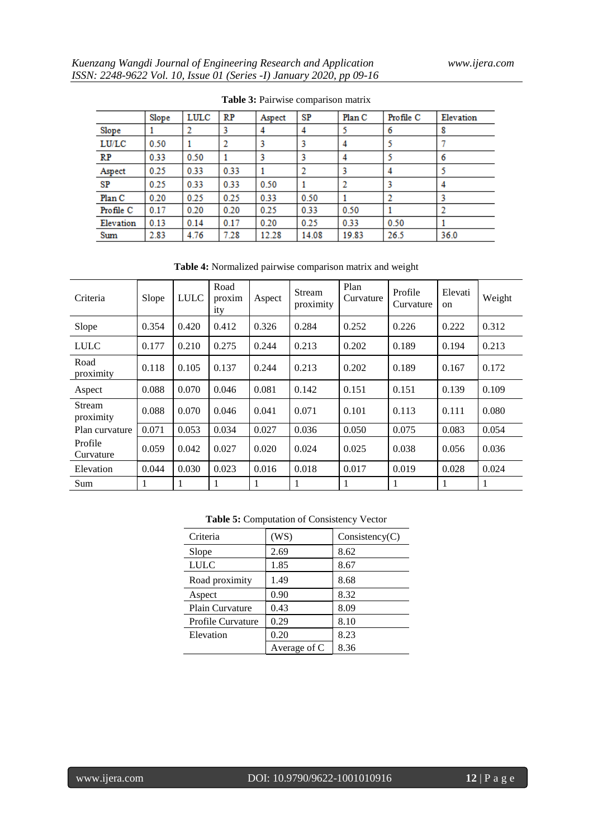|           | Slope | LULC | RP   | Aspect | SP    | Plan C | Profile C | Elevation |
|-----------|-------|------|------|--------|-------|--------|-----------|-----------|
| Slope     |       |      |      |        | 4     |        | 6         | 8         |
| LU/LC     | 0.50  |      |      |        |       | 4      |           |           |
| <b>RP</b> | 0.33  | 0.50 |      |        |       | 4      |           | 6         |
| Aspect    | 0.25  | 0.33 | 0.33 |        |       |        | 4         |           |
| SP        | 0.25  | 0.33 | 0.33 | 0.50   |       |        |           | 4         |
| Plan C    | 0.20  | 0.25 | 0.25 | 0.33   | 0.50  |        |           |           |
| Profile C | 0.17  | 0.20 | 0.20 | 0.25   | 0.33  | 0.50   |           |           |
| Elevation | 0.13  | 0.14 | 0.17 | 0.20   | 0.25  | 0.33   | 0.50      |           |
| Sum       | 2.83  | 4.76 | 7.28 | 12.28  | 14.08 | 19.83  | 26.5      | 36.0      |

**Table 3:** Pairwise comparison matrix

**Table 4:** Normalized pairwise comparison matrix and weight

| Criteria             | Slope | <b>LULC</b> | Road<br>proxim<br>ity | Aspect | Stream<br>proximity | Plan<br>Curvature | Profile<br>Curvature | Elevati<br>$_{\rm on}$ | Weight |
|----------------------|-------|-------------|-----------------------|--------|---------------------|-------------------|----------------------|------------------------|--------|
| Slope                | 0.354 | 0.420       | 0.412                 | 0.326  | 0.284               | 0.252             | 0.226                | 0.222                  | 0.312  |
| <b>LULC</b>          | 0.177 | 0.210       | 0.275                 | 0.244  | 0.213               | 0.202             | 0.189                | 0.194                  | 0.213  |
| Road<br>proximity    | 0.118 | 0.105       | 0.137                 | 0.244  | 0.213               | 0.202             | 0.189                | 0.167                  | 0.172  |
| Aspect               | 0.088 | 0.070       | 0.046                 | 0.081  | 0.142               | 0.151             | 0.151                | 0.139                  | 0.109  |
| Stream<br>proximity  | 0.088 | 0.070       | 0.046                 | 0.041  | 0.071               | 0.101             | 0.113                | 0.111                  | 0.080  |
| Plan curvature       | 0.071 | 0.053       | 0.034                 | 0.027  | 0.036               | 0.050             | 0.075                | 0.083                  | 0.054  |
| Profile<br>Curvature | 0.059 | 0.042       | 0.027                 | 0.020  | 0.024               | 0.025             | 0.038                | 0.056                  | 0.036  |
| Elevation            | 0.044 | 0.030       | 0.023                 | 0.016  | 0.018               | 0.017             | 0.019                | 0.028                  | 0.024  |
| Sum                  |       |             | 1                     |        |                     | 1                 |                      | 1                      | 1      |

**Table 5:** Computation of Consistency Vector

| Criteria                 | (WS)         | Consistency(C) |  |  |  |
|--------------------------|--------------|----------------|--|--|--|
| Slope                    | 2.69         | 8.62           |  |  |  |
| <b>LULC</b>              | 1.85         | 8.67           |  |  |  |
| Road proximity           | 1.49         | 8.68           |  |  |  |
| Aspect                   | 0.90         | 8.32           |  |  |  |
| <b>Plain Curvature</b>   | 0.43         | 8.09           |  |  |  |
| <b>Profile Curvature</b> | 0.29         | 8.10           |  |  |  |
| Elevation                | 0.20         | 8.23           |  |  |  |
|                          | Average of C | 8.36           |  |  |  |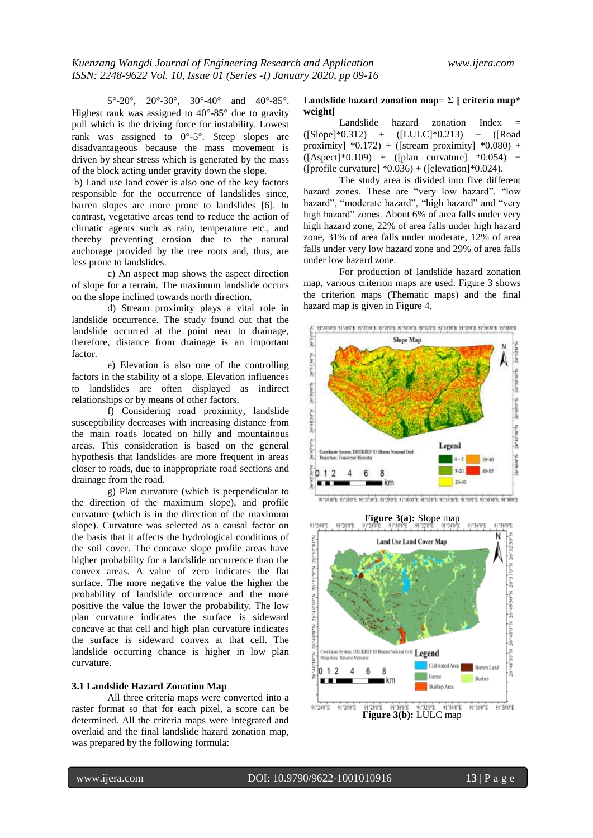$5^{\circ}$ -20°, 20°-30°, 30°-40° and 40°-85°. Highest rank was assigned to  $40^{\circ}$ -85 $^{\circ}$  due to gravity pull which is the driving force for instability. Lowest rank was assigned to  $0^{\circ}$ -5°. Steep slopes are disadvantageous because the mass movement is driven by shear stress which is generated by the mass of the block acting under gravity down the slope.

b) Land use land cover is also one of the key factors responsible for the occurrence of landslides since, barren slopes are more prone to landslides [6]. In contrast, vegetative areas tend to reduce the action of climatic agents such as rain, temperature etc., and thereby preventing erosion due to the natural anchorage provided by the tree roots and, thus, are less prone to landslides.

c) An aspect map shows the aspect direction of slope for a terrain. The maximum landslide occurs on the slope inclined towards north direction.

d) Stream proximity plays a vital role in landslide occurrence. The study found out that the landslide occurred at the point near to drainage, therefore, distance from drainage is an important factor.

e) Elevation is also one of the controlling factors in the stability of a slope. Elevation influences to landslides are often displayed as indirect relationships or by means of other factors.

f) Considering road proximity, landslide susceptibility decreases with increasing distance from the main roads located on hilly and mountainous areas. This consideration is based on the general hypothesis that landslides are more frequent in areas closer to roads, due to inappropriate road sections and drainage from the road.

g) Plan curvature (which is perpendicular to the direction of the maximum slope), and profile curvature (which is in the direction of the maximum slope). Curvature was selected as a causal factor on the basis that it affects the hydrological conditions of the soil cover. The concave slope profile areas have higher probability for a landslide occurrence than the convex areas. A value of zero indicates the flat surface. The more negative the value the higher the probability of landslide occurrence and the more positive the value the lower the probability. The low plan curvature indicates the surface is sideward concave at that cell and high plan curvature indicates the surface is sideward convex at that cell. The landslide occurring chance is higher in low plan curvature.

# **3.1 Landslide Hazard Zonation Map**

All three criteria maps were converted into a raster format so that for each pixel, a score can be determined. All the criteria maps were integrated and overlaid and the final landslide hazard zonation map, was prepared by the following formula:

#### Landslide hazard zonation map= $\Sigma$  [ criteria map\* **weight]**

Landslide hazard zonation Index =  $(ISlope)*0.312) + ([LULC]*0.213) + ([RootC]*0.312)$ proximity]  $*0.172$ ) + ([stream proximity]  $*0.080$ ) + ([Aspect]\*0.109) + ([plan curvature] \*0.054) + ([profile curvature]  $*0.036$ ) + ([elevation] $*0.024$ ).

The study area is divided into five different hazard zones. These are "very low hazard", "low hazard", "moderate hazard", "high hazard" and "very high hazard" zones. About 6% of area falls under very high hazard zone, 22% of area falls under high hazard zone, 31% of area falls under moderate, 12% of area falls under very low hazard zone and 29% of area falls under low hazard zone.

For production of landslide hazard zonation map, various criterion maps are used. Figure 3 shows the criterion maps (Thematic maps) and the final hazard map is given in Figure 4.





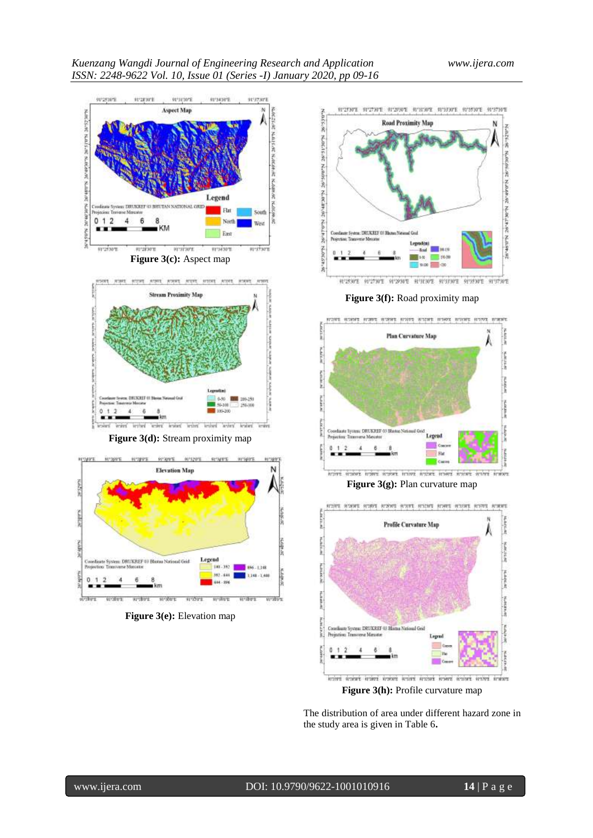

**Figure 3(e):** Elevation map





**Figure 3(g):** Plan curvature map



Figure 3(h): Profile curvature map

The distribution of area under different hazard zone in the study area is given in Table 6**.**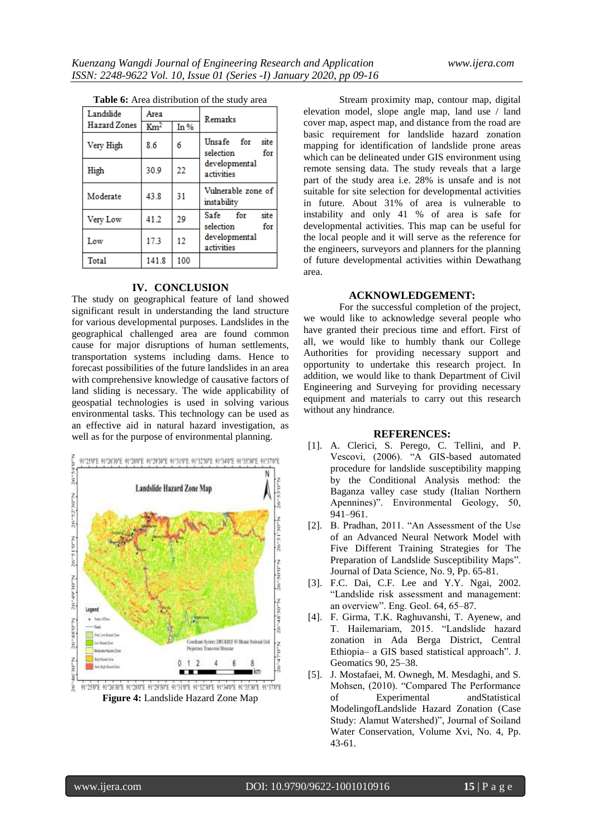| Table 6: Area distribution of the study area |                 |      |                                        |  |
|----------------------------------------------|-----------------|------|----------------------------------------|--|
| Landslide                                    | Area            |      | Remarks                                |  |
| <b>Hazard Zones</b>                          | $\mathrm{Km}^2$ | In % |                                        |  |
| Very High                                    | 8.6             | 6    | Unsafe for<br>site<br>selection<br>for |  |
| High                                         | 30.9            | 22   | developmental<br>activities            |  |
| Moderate                                     | 43.8            | 31   | Vulnerable zone of<br>instability      |  |
| Very Low                                     | 41.2            | 29   | site<br>Safe for<br>selection<br>for   |  |
| $T = 1$                                      | 179             |      | developmental                          |  |

activities

| <b>Table 6:</b> Area distribution of the study area |  |  |  |
|-----------------------------------------------------|--|--|--|
|-----------------------------------------------------|--|--|--|

Low

Total

#### **IV. CONCLUSION**

12

100

17.3

141.8

The study on geographical feature of land showed significant result in understanding the land structure for various developmental purposes. Landslides in the geographical challenged area are found common cause for major disruptions of human settlements, transportation systems including dams. Hence to forecast possibilities of the future landslides in an area with comprehensive knowledge of causative factors of land sliding is necessary. The wide applicability of geospatial technologies is used in solving various environmental tasks. This technology can be used as an effective aid in natural hazard investigation, as well as for the purpose of environmental planning.



**Figure 4:** Landslide Hazard Zone Map

Stream proximity map, contour map, digital elevation model, slope angle map, land use / land cover map, aspect map, and distance from the road are basic requirement for landslide hazard zonation mapping for identification of landslide prone areas which can be delineated under GIS environment using remote sensing data. The study reveals that a large part of the study area i.e. 28% is unsafe and is not suitable for site selection for developmental activities in future. About 31% of area is vulnerable to instability and only 41 % of area is safe for developmental activities. This map can be useful for the local people and it will serve as the reference for the engineers, surveyors and planners for the planning of future developmental activities within Dewathang area.

# **ACKNOWLEDGEMENT:**

For the successful completion of the project, we would like to acknowledge several people who have granted their precious time and effort. First of all, we would like to humbly thank our College Authorities for providing necessary support and opportunity to undertake this research project. In addition, we would like to thank Department of Civil Engineering and Surveying for providing necessary equipment and materials to carry out this research without any hindrance.

# **REFERENCES:**

- [1]. A. Clerici, S. Perego, C. Tellini, and P. Vescovi, (2006). "A GIS-based automated procedure for landslide susceptibility mapping by the Conditional Analysis method: the Baganza valley case study (Italian Northern Apennines)". Environmental Geology, 50, 941–961.
- [2]. B. Pradhan, 2011. "An Assessment of the Use of an Advanced Neural Network Model with Five Different Training Strategies for The Preparation of Landslide Susceptibility Maps". Journal of Data Science, No. 9, Pp. 65-81.
- [3]. F.C. Dai, C.F. Lee and Y.Y. Ngai, 2002. "Landslide risk assessment and management: an overview". Eng. Geol. 64, 65–87.
- [4]. F. Girma, T.K. Raghuvanshi, T. Ayenew, and T. Hailemariam, 2015. "Landslide hazard zonation in Ada Berga District, Central Ethiopia– a GIS based statistical approach". J. Geomatics 90, 25–38.
- [5]. J. Mostafaei, M. Ownegh, M. Mesdaghi, and S. Mohsen, (2010). "Compared The Performance of Experimental andStatistical ModelingofLandslide Hazard Zonation (Case Study: Alamut Watershed)", Journal of Soiland Water Conservation, Volume Xvi, No. 4, Pp. 43-61.